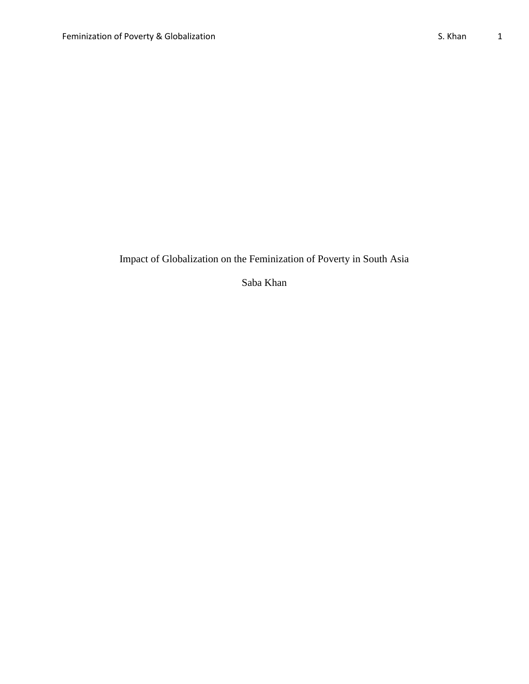Impact of Globalization on the Feminization of Poverty in South Asia

Saba Khan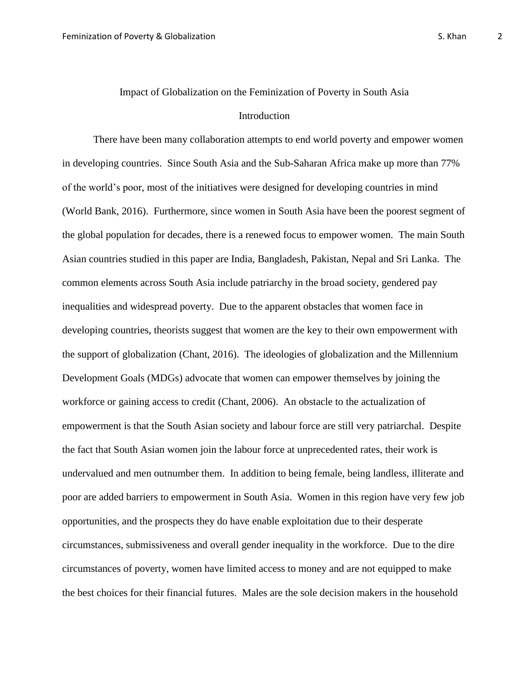# Impact of Globalization on the Feminization of Poverty in South Asia Introduction

There have been many collaboration attempts to end world poverty and empower women in developing countries. Since South Asia and the Sub-Saharan Africa make up more than 77% of the world's poor, most of the initiatives were designed for developing countries in mind (World Bank, 2016). Furthermore, since women in South Asia have been the poorest segment of the global population for decades, there is a renewed focus to empower women. The main South Asian countries studied in this paper are India, Bangladesh, Pakistan, Nepal and Sri Lanka. The common elements across South Asia include patriarchy in the broad society, gendered pay inequalities and widespread poverty. Due to the apparent obstacles that women face in developing countries, theorists suggest that women are the key to their own empowerment with the support of globalization (Chant, 2016). The ideologies of globalization and the Millennium Development Goals (MDGs) advocate that women can empower themselves by joining the workforce or gaining access to credit (Chant, 2006). An obstacle to the actualization of empowerment is that the South Asian society and labour force are still very patriarchal. Despite the fact that South Asian women join the labour force at unprecedented rates, their work is undervalued and men outnumber them. In addition to being female, being landless, illiterate and poor are added barriers to empowerment in South Asia. Women in this region have very few job opportunities, and the prospects they do have enable exploitation due to their desperate circumstances, submissiveness and overall gender inequality in the workforce. Due to the dire circumstances of poverty, women have limited access to money and are not equipped to make the best choices for their financial futures. Males are the sole decision makers in the household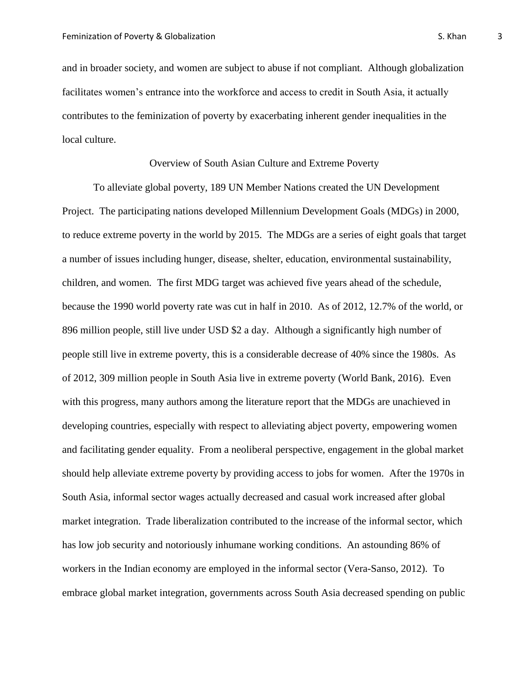and in broader society, and women are subject to abuse if not compliant. Although globalization facilitates women's entrance into the workforce and access to credit in South Asia, it actually contributes to the feminization of poverty by exacerbating inherent gender inequalities in the local culture.

## Overview of South Asian Culture and Extreme Poverty

To alleviate global poverty, 189 UN Member Nations created the UN Development Project. The participating nations developed Millennium Development Goals (MDGs) in 2000, to reduce extreme poverty in the world by 2015. The MDGs are a series of eight goals that target a number of issues including hunger, disease, shelter, education, environmental sustainability, children, and women*.* The first MDG target was achieved five years ahead of the schedule, because the 1990 world poverty rate was cut in half in 2010. As of 2012, 12.7% of the world, or 896 million people, still live under USD \$2 a day. Although a significantly high number of people still live in extreme poverty, this is a considerable decrease of 40% since the 1980s. As of 2012, 309 million people in South Asia live in extreme poverty (World Bank, 2016). Even with this progress, many authors among the literature report that the MDGs are unachieved in developing countries, especially with respect to alleviating abject poverty, empowering women and facilitating gender equality. From a neoliberal perspective, engagement in the global market should help alleviate extreme poverty by providing access to jobs for women. After the 1970s in South Asia, informal sector wages actually decreased and casual work increased after global market integration. Trade liberalization contributed to the increase of the informal sector, which has low job security and notoriously inhumane working conditions. An astounding 86% of workers in the Indian economy are employed in the informal sector (Vera-Sanso, 2012). To embrace global market integration, governments across South Asia decreased spending on public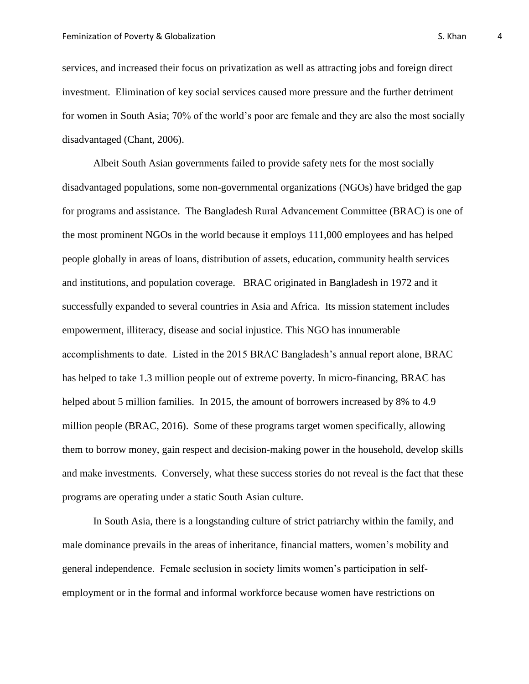services, and increased their focus on privatization as well as attracting jobs and foreign direct investment. Elimination of key social services caused more pressure and the further detriment for women in South Asia; 70% of the world's poor are female and they are also the most socially disadvantaged (Chant, 2006).

Albeit South Asian governments failed to provide safety nets for the most socially disadvantaged populations, some non-governmental organizations (NGOs) have bridged the gap for programs and assistance. The Bangladesh Rural Advancement Committee (BRAC) is one of the most prominent NGOs in the world because it employs 111,000 employees and has helped people globally in areas of loans, distribution of assets, education, community health services and institutions, and population coverage. BRAC originated in Bangladesh in 1972 and it successfully expanded to several countries in Asia and Africa. Its mission statement includes empowerment, illiteracy, disease and social injustice. This NGO has innumerable accomplishments to date. Listed in the 2015 BRAC Bangladesh's annual report alone, BRAC has helped to take 1.3 million people out of extreme poverty. In micro-financing, BRAC has helped about 5 million families. In 2015, the amount of borrowers increased by 8% to 4.9 million people (BRAC, 2016). Some of these programs target women specifically, allowing them to borrow money, gain respect and decision-making power in the household, develop skills and make investments. Conversely, what these success stories do not reveal is the fact that these programs are operating under a static South Asian culture.

In South Asia, there is a longstanding culture of strict patriarchy within the family, and male dominance prevails in the areas of inheritance, financial matters, women's mobility and general independence. Female seclusion in society limits women's participation in selfemployment or in the formal and informal workforce because women have restrictions on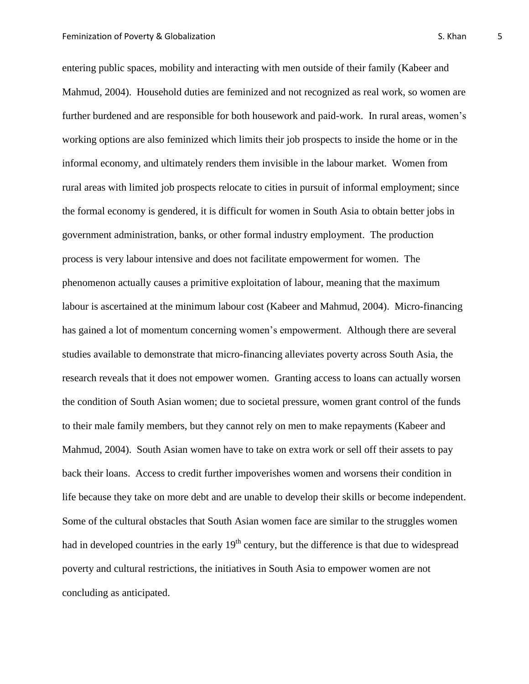entering public spaces, mobility and interacting with men outside of their family (Kabeer and Mahmud, 2004). Household duties are feminized and not recognized as real work, so women are further burdened and are responsible for both housework and paid-work. In rural areas, women's working options are also feminized which limits their job prospects to inside the home or in the informal economy, and ultimately renders them invisible in the labour market. Women from rural areas with limited job prospects relocate to cities in pursuit of informal employment; since the formal economy is gendered, it is difficult for women in South Asia to obtain better jobs in government administration, banks, or other formal industry employment. The production process is very labour intensive and does not facilitate empowerment for women. The phenomenon actually causes a primitive exploitation of labour, meaning that the maximum labour is ascertained at the minimum labour cost (Kabeer and Mahmud, 2004). Micro-financing has gained a lot of momentum concerning women's empowerment. Although there are several studies available to demonstrate that micro-financing alleviates poverty across South Asia, the research reveals that it does not empower women. Granting access to loans can actually worsen the condition of South Asian women; due to societal pressure, women grant control of the funds to their male family members, but they cannot rely on men to make repayments (Kabeer and Mahmud, 2004). South Asian women have to take on extra work or sell off their assets to pay back their loans. Access to credit further impoverishes women and worsens their condition in life because they take on more debt and are unable to develop their skills or become independent. Some of the cultural obstacles that South Asian women face are similar to the struggles women had in developed countries in the early  $19<sup>th</sup>$  century, but the difference is that due to widespread poverty and cultural restrictions, the initiatives in South Asia to empower women are not concluding as anticipated.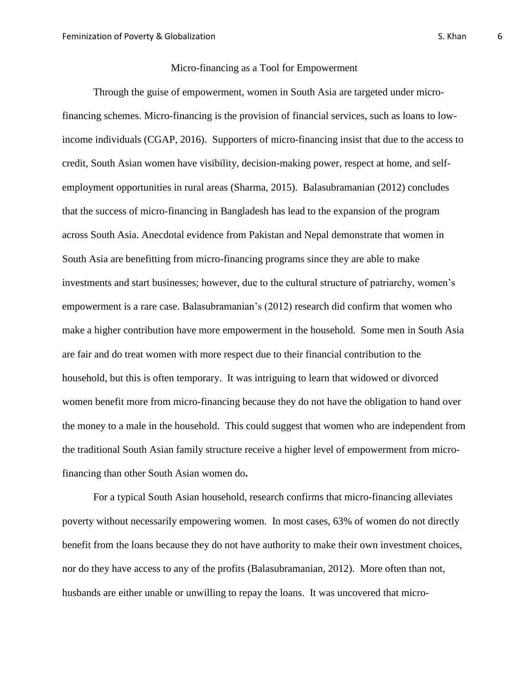#### Micro-financing as a Tool for Empowerment

Through the guise of empowerment, women in South Asia are targeted under microfinancing schemes. Micro-financing is the provision of financial services, such as loans to lowincome individuals (CGAP, 2016). Supporters of micro-financing insist that due to the access to credit, South Asian women have visibility, decision-making power, respect at home, and selfemployment opportunities in rural areas (Sharma, 2015). Balasubramanian (2012) concludes that the success of micro-financing in Bangladesh has lead to the expansion of the program across South Asia. Anecdotal evidence from Pakistan and Nepal demonstrate that women in South Asia are benefitting from micro-financing programs since they are able to make investments and start businesses; however, due to the cultural structure of patriarchy, women's empowerment is a rare case. Balasubramanian's (2012) research did confirm that women who make a higher contribution have more empowerment in the household. Some men in South Asia are fair and do treat women with more respect due to their financial contribution to the household, but this is often temporary. It was intriguing to learn that widowed or divorced women benefit more from micro-financing because they do not have the obligation to hand over the money to a male in the household. This could suggest that women who are independent from the traditional South Asian family structure receive a higher level of empowerment from microfinancing than other South Asian women do**.**

For a typical South Asian household, research confirms that micro-financing alleviates poverty without necessarily empowering women. In most cases, 63% of women do not directly benefit from the loans because they do not have authority to make their own investment choices, nor do they have access to any of the profits (Balasubramanian, 2012). More often than not, husbands are either unable or unwilling to repay the loans. It was uncovered that micro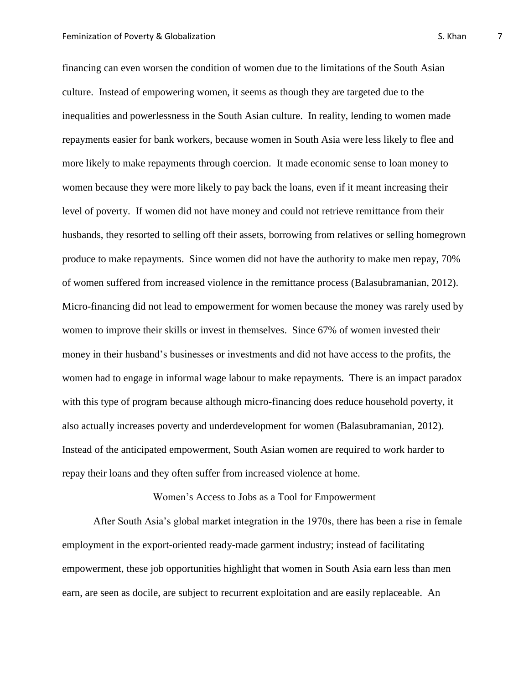financing can even worsen the condition of women due to the limitations of the South Asian culture. Instead of empowering women, it seems as though they are targeted due to the inequalities and powerlessness in the South Asian culture. In reality, lending to women made repayments easier for bank workers, because women in South Asia were less likely to flee and more likely to make repayments through coercion. It made economic sense to loan money to women because they were more likely to pay back the loans, even if it meant increasing their level of poverty. If women did not have money and could not retrieve remittance from their husbands, they resorted to selling off their assets, borrowing from relatives or selling homegrown produce to make repayments. Since women did not have the authority to make men repay, 70% of women suffered from increased violence in the remittance process (Balasubramanian, 2012). Micro-financing did not lead to empowerment for women because the money was rarely used by women to improve their skills or invest in themselves. Since 67% of women invested their money in their husband's businesses or investments and did not have access to the profits, the women had to engage in informal wage labour to make repayments. There is an impact paradox

with this type of program because although micro-financing does reduce household poverty, it also actually increases poverty and underdevelopment for women (Balasubramanian, 2012). Instead of the anticipated empowerment, South Asian women are required to work harder to repay their loans and they often suffer from increased violence at home.

Women's Access to Jobs as a Tool for Empowerment

After South Asia's global market integration in the 1970s, there has been a rise in female employment in the export-oriented ready-made garment industry; instead of facilitating empowerment, these job opportunities highlight that women in South Asia earn less than men earn, are seen as docile, are subject to recurrent exploitation and are easily replaceable. An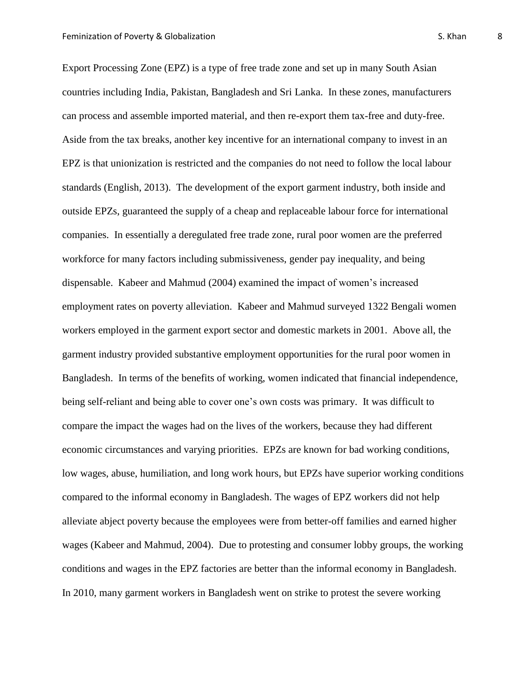Export Processing Zone (EPZ) is a type of free trade zone and set up in many South Asian countries including India, Pakistan, Bangladesh and Sri Lanka. In these zones, manufacturers can process and assemble imported material, and then re-export them tax-free and duty-free. Aside from the tax breaks, another key incentive for an international company to invest in an EPZ is that unionization is restricted and the companies do not need to follow the local labour standards (English, 2013). The development of the export garment industry, both inside and outside EPZs, guaranteed the supply of a cheap and replaceable labour force for international companies. In essentially a deregulated free trade zone, rural poor women are the preferred workforce for many factors including submissiveness, gender pay inequality, and being dispensable. Kabeer and Mahmud (2004) examined the impact of women's increased employment rates on poverty alleviation. Kabeer and Mahmud surveyed 1322 Bengali women workers employed in the garment export sector and domestic markets in 2001. Above all, the garment industry provided substantive employment opportunities for the rural poor women in Bangladesh. In terms of the benefits of working, women indicated that financial independence, being self-reliant and being able to cover one's own costs was primary. It was difficult to compare the impact the wages had on the lives of the workers, because they had different economic circumstances and varying priorities. EPZs are known for bad working conditions, low wages, abuse, humiliation, and long work hours, but EPZs have superior working conditions compared to the informal economy in Bangladesh. The wages of EPZ workers did not help alleviate abject poverty because the employees were from better-off families and earned higher wages (Kabeer and Mahmud, 2004). Due to protesting and consumer lobby groups, the working conditions and wages in the EPZ factories are better than the informal economy in Bangladesh. In 2010, many garment workers in Bangladesh went on strike to protest the severe working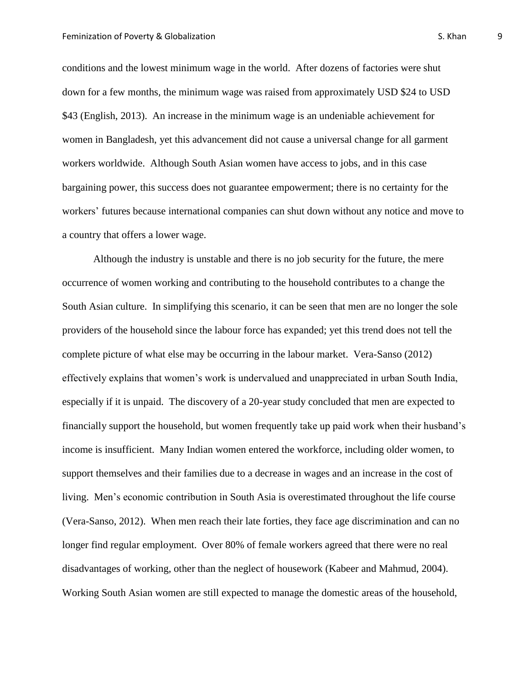conditions and the lowest minimum wage in the world. After dozens of factories were shut down for a few months, the minimum wage was raised from approximately USD \$24 to USD \$43 (English, 2013). An increase in the minimum wage is an undeniable achievement for women in Bangladesh, yet this advancement did not cause a universal change for all garment workers worldwide. Although South Asian women have access to jobs, and in this case bargaining power, this success does not guarantee empowerment; there is no certainty for the workers' futures because international companies can shut down without any notice and move to a country that offers a lower wage.

Although the industry is unstable and there is no job security for the future, the mere occurrence of women working and contributing to the household contributes to a change the South Asian culture. In simplifying this scenario, it can be seen that men are no longer the sole providers of the household since the labour force has expanded; yet this trend does not tell the complete picture of what else may be occurring in the labour market. Vera-Sanso (2012) effectively explains that women's work is undervalued and unappreciated in urban South India, especially if it is unpaid. The discovery of a 20-year study concluded that men are expected to financially support the household, but women frequently take up paid work when their husband's income is insufficient. Many Indian women entered the workforce, including older women, to support themselves and their families due to a decrease in wages and an increase in the cost of living. Men's economic contribution in South Asia is overestimated throughout the life course (Vera-Sanso, 2012). When men reach their late forties, they face age discrimination and can no longer find regular employment. Over 80% of female workers agreed that there were no real disadvantages of working, other than the neglect of housework (Kabeer and Mahmud, 2004). Working South Asian women are still expected to manage the domestic areas of the household,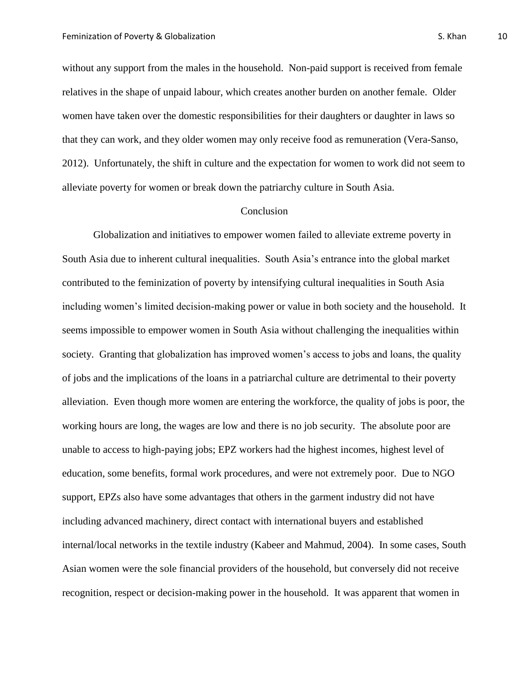without any support from the males in the household. Non-paid support is received from female relatives in the shape of unpaid labour, which creates another burden on another female. Older women have taken over the domestic responsibilities for their daughters or daughter in laws so that they can work, and they older women may only receive food as remuneration (Vera-Sanso, 2012). Unfortunately, the shift in culture and the expectation for women to work did not seem to alleviate poverty for women or break down the patriarchy culture in South Asia.

## Conclusion

Globalization and initiatives to empower women failed to alleviate extreme poverty in South Asia due to inherent cultural inequalities. South Asia's entrance into the global market contributed to the feminization of poverty by intensifying cultural inequalities in South Asia including women's limited decision-making power or value in both society and the household. It seems impossible to empower women in South Asia without challenging the inequalities within society. Granting that globalization has improved women's access to jobs and loans, the quality of jobs and the implications of the loans in a patriarchal culture are detrimental to their poverty alleviation. Even though more women are entering the workforce, the quality of jobs is poor, the working hours are long, the wages are low and there is no job security. The absolute poor are unable to access to high-paying jobs; EPZ workers had the highest incomes, highest level of education, some benefits, formal work procedures, and were not extremely poor. Due to NGO support, EPZs also have some advantages that others in the garment industry did not have including advanced machinery, direct contact with international buyers and established internal/local networks in the textile industry (Kabeer and Mahmud, 2004). In some cases, South Asian women were the sole financial providers of the household, but conversely did not receive recognition, respect or decision-making power in the household. It was apparent that women in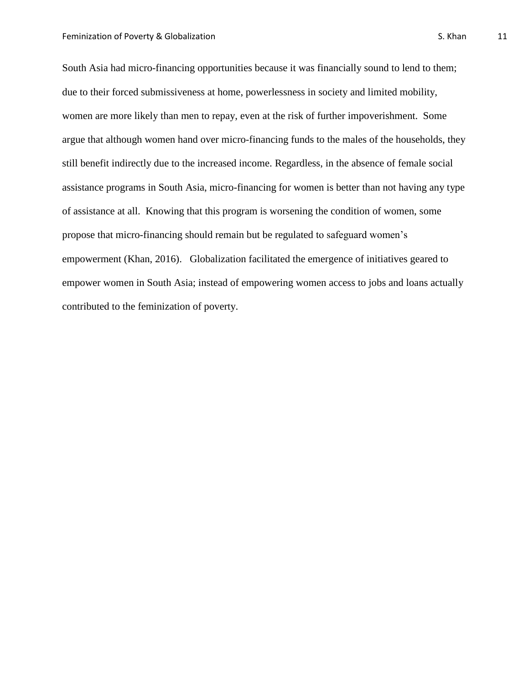South Asia had micro-financing opportunities because it was financially sound to lend to them; due to their forced submissiveness at home, powerlessness in society and limited mobility, women are more likely than men to repay, even at the risk of further impoverishment. Some argue that although women hand over micro-financing funds to the males of the households, they still benefit indirectly due to the increased income. Regardless, in the absence of female social assistance programs in South Asia, micro-financing for women is better than not having any type of assistance at all. Knowing that this program is worsening the condition of women, some propose that micro-financing should remain but be regulated to safeguard women's

empowerment (Khan, 2016). Globalization facilitated the emergence of initiatives geared to empower women in South Asia; instead of empowering women access to jobs and loans actually contributed to the feminization of poverty.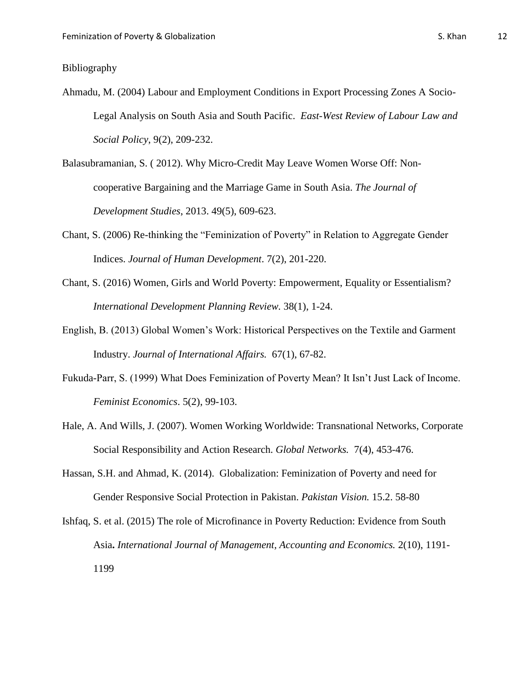# Bibliography

- Ahmadu, M. (2004) Labour and Employment Conditions in Export Processing Zones A Socio-Legal Analysis on South Asia and South Pacific. *East-West Review of Labour Law and Social Policy*, 9(2), 209-232.
- Balasubramanian, S. ( 2012). Why Micro-Credit May Leave Women Worse Off: Noncooperative Bargaining and the Marriage Game in South Asia. *The Journal of Development Studies*, 2013. 49(5), 609-623.
- Chant, S. (2006) Re-thinking the "Feminization of Poverty" in Relation to Aggregate Gender Indices. *Journal of Human Development*. 7(2), 201-220.
- Chant, S. (2016) Women, Girls and World Poverty: Empowerment, Equality or Essentialism? *International Development Planning Review.* 38(1), 1-24.
- English, B. (2013) Global Women's Work: Historical Perspectives on the Textile and Garment Industry. *Journal of International Affairs.* 67(1), 67-82.
- Fukuda-Parr, S. (1999) What Does Feminization of Poverty Mean? It Isn't Just Lack of Income. *Feminist Economics*. 5(2), 99-103.
- Hale, A. And Wills, J. (2007). Women Working Worldwide: Transnational Networks, Corporate Social Responsibility and Action Research. *Global Networks.* 7(4), 453-476.
- Hassan, S.H. and Ahmad, K. (2014). Globalization: Feminization of Poverty and need for Gender Responsive Social Protection in Pakistan. *Pakistan Vision.* 15.2. 58-80
- Ishfaq, S. et al. (2015) The role of Microfinance in Poverty Reduction: Evidence from South Asia**.** *International Journal of Management, Accounting and Economics.* 2(10), 1191- 1199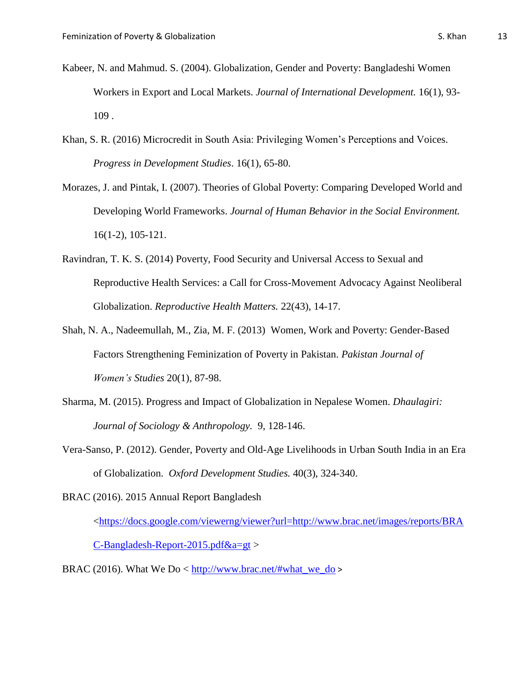- Kabeer, N. and Mahmud. S. (2004). Globalization, Gender and Poverty: Bangladeshi Women Workers in Export and Local Markets. *Journal of International Development.* 16(1), 93- 109 .
- Khan, S. R. (2016) Microcredit in South Asia: Privileging Women's Perceptions and Voices. *Progress in Development Studies*. 16(1), 65-80.
- Morazes, J. and Pintak, I. (2007). Theories of Global Poverty: Comparing Developed World and Developing World Frameworks. *Journal of Human Behavior in the Social Environment.*  16(1-2), 105-121.
- Ravindran, T. K. S. (2014) Poverty, Food Security and Universal Access to Sexual and Reproductive Health Services: a Call for Cross-Movement Advocacy Against Neoliberal Globalization. *Reproductive Health Matters.* 22(43), 14-17.
- Shah, N. A., Nadeemullah, M., Zia, M. F. (2013) Women, Work and Poverty: Gender-Based Factors Strengthening Feminization of Poverty in Pakistan. *Pakistan Journal of Women's Studies* 20(1), 87-98.
- Sharma, M. (2015). Progress and Impact of Globalization in Nepalese Women. *Dhaulagiri: Journal of Sociology & Anthropology.* 9, 128-146.
- Vera-Sanso, P. (2012). Gender, Poverty and Old-Age Livelihoods in Urban South India in an Era of Globalization. *Oxford Development Studies.* 40(3), 324-340.

BRAC (2016). 2015 Annual Report Bangladesh

[<https://docs.google.com/viewerng/viewer?url=http://www.brac.net/images/reports/BRA](https://docs.google.com/viewerng/viewer?url=http://www.brac.net/images/reports/BRAC-Bangladesh-Report-2015.pdf&a=gt)

[C-Bangladesh-Report-2015.pdf&a=gt](https://docs.google.com/viewerng/viewer?url=http://www.brac.net/images/reports/BRAC-Bangladesh-Report-2015.pdf&a=gt) >

BRAC (2016). What We Do < [http://www.brac.net/#what\\_we\\_do](http://www.brac.net/#what_we_do) >